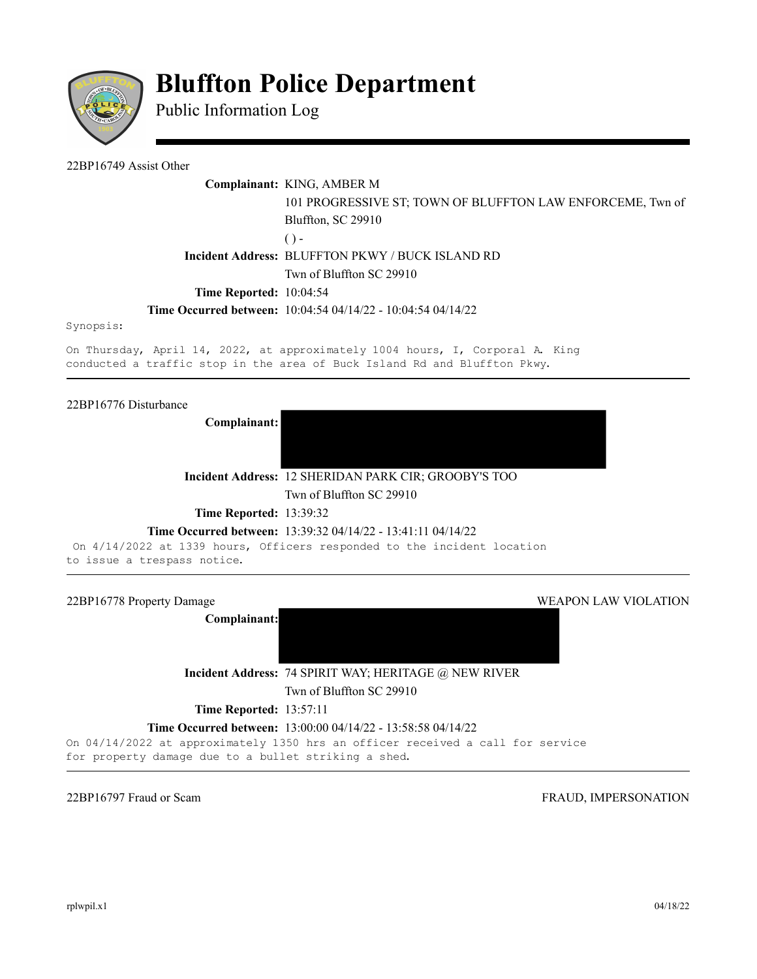

# **Bluffton Police Department**

Public Information Log

22BP16749 Assist Other

# **Complainant:** KING, AMBER M

101 PROGRESSIVE ST; TOWN OF BLUFFTON LAW ENFORCEME, Twn of Bluffton, SC 29910  $()$  -**Incident Address:** BLUFFTON PKWY / BUCK ISLAND RD Twn of Bluffton SC 29910

# **Time Reported:** 10:04:54

## **Time Occurred between:** 10:04:54 04/14/22 - 10:04:54 04/14/22

Synopsis:

On Thursday, April 14, 2022, at approximately 1004 hours, I, Corporal A. King conducted a traffic stop in the area of Buck Island Rd and Bluffton Pkwy.

22BP16776 Disturbance

**Complainant:** 



**Incident Address:** 12 SHERIDAN PARK CIR; GROOBY'S TOO Twn of Bluffton SC 29910

**Time Reported:** 13:39:32

#### **Time Occurred between:** 13:39:32 04/14/22 - 13:41:11 04/14/22

On 4/14/2022 at 1339 hours, Officers responded to the incident location to issue a trespass notice.

22BP16778 Property Damage WEAPON LAW VIOLATION **Complainant: Incident Address:** 74 SPIRIT WAY; HERITAGE @ NEW RIVER Twn of Bluffton SC 29910 **Time Reported: 13:57:11 Time Occurred between:** 13:00:00 04/14/22 - 13:58:58 04/14/22 On 04/14/2022 at approximately 1350 hrs an officer received a call for service for property damage due to a bullet striking a shed.

22BP16797 Fraud or Scam FRAUD, IMPERSONATION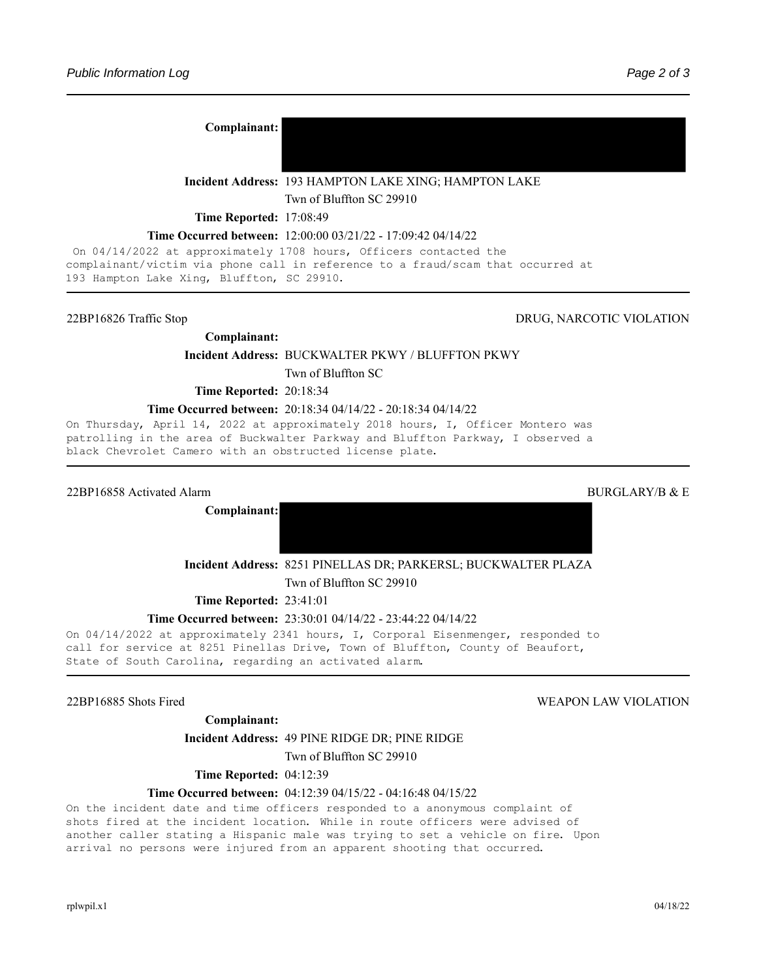**Complainant:** 

**Incident Address:** 193 HAMPTON LAKE XING; HAMPTON LAKE

Twn of Bluffton SC 29910

**Time Reported:** 17:08:49

#### **Time Occurred between:** 12:00:00 03/21/22 - 17:09:42 04/14/22

On 04/14/2022 at approximately 1708 hours, Officers contacted the complainant/victim via phone call in reference to a fraud/scam that occurred at 193 Hampton Lake Xing, Bluffton, SC 29910.

#### 22BP16826 Traffic Stop DRUG, NARCOTIC VIOLATION

**Complainant:** 

**Incident Address:** BUCKWALTER PKWY / BLUFFTON PKWY

Twn of Bluffton SC

**Time Reported:** 20:18:34

#### **Time Occurred between:** 20:18:34 04/14/22 - 20:18:34 04/14/22

On Thursday, April 14, 2022 at approximately 2018 hours, I, Officer Montero was patrolling in the area of Buckwalter Parkway and Bluffton Parkway, I observed a black Chevrolet Camero with an obstructed license plate.

#### 22BP16858 Activated Alarm 2008 and 2008 and 2008 and 2008 and 2008 and 2008 and 2008 and 2008 and 2008 and 200

**Complainant:**

**Incident Address:** 8251 PINELLAS DR; PARKERSL; BUCKWALTER PLAZA

Twn of Bluffton SC 29910

**Time Reported:** 23:41:01

#### **Time Occurred between:** 23:30:01 04/14/22 - 23:44:22 04/14/22

On 04/14/2022 at approximately 2341 hours, I, Corporal Eisenmenger, responded to call for service at 8251 Pinellas Drive, Town of Bluffton, County of Beaufort, State of South Carolina, regarding an activated alarm.

### 22BP16885 Shots Fired WEAPON LAW VIOLATION

#### **Complainant:**

#### **Incident Address:** 49 PINE RIDGE DR; PINE RIDGE

Twn of Bluffton SC 29910

**Time Reported:** 04:12:39

#### **Time Occurred between:** 04:12:39 04/15/22 - 04:16:48 04/15/22

On the incident date and time officers responded to a anonymous complaint of shots fired at the incident location. While in route officers were advised of another caller stating a Hispanic male was trying to set a vehicle on fire. Upon arrival no persons were injured from an apparent shooting that occurred.